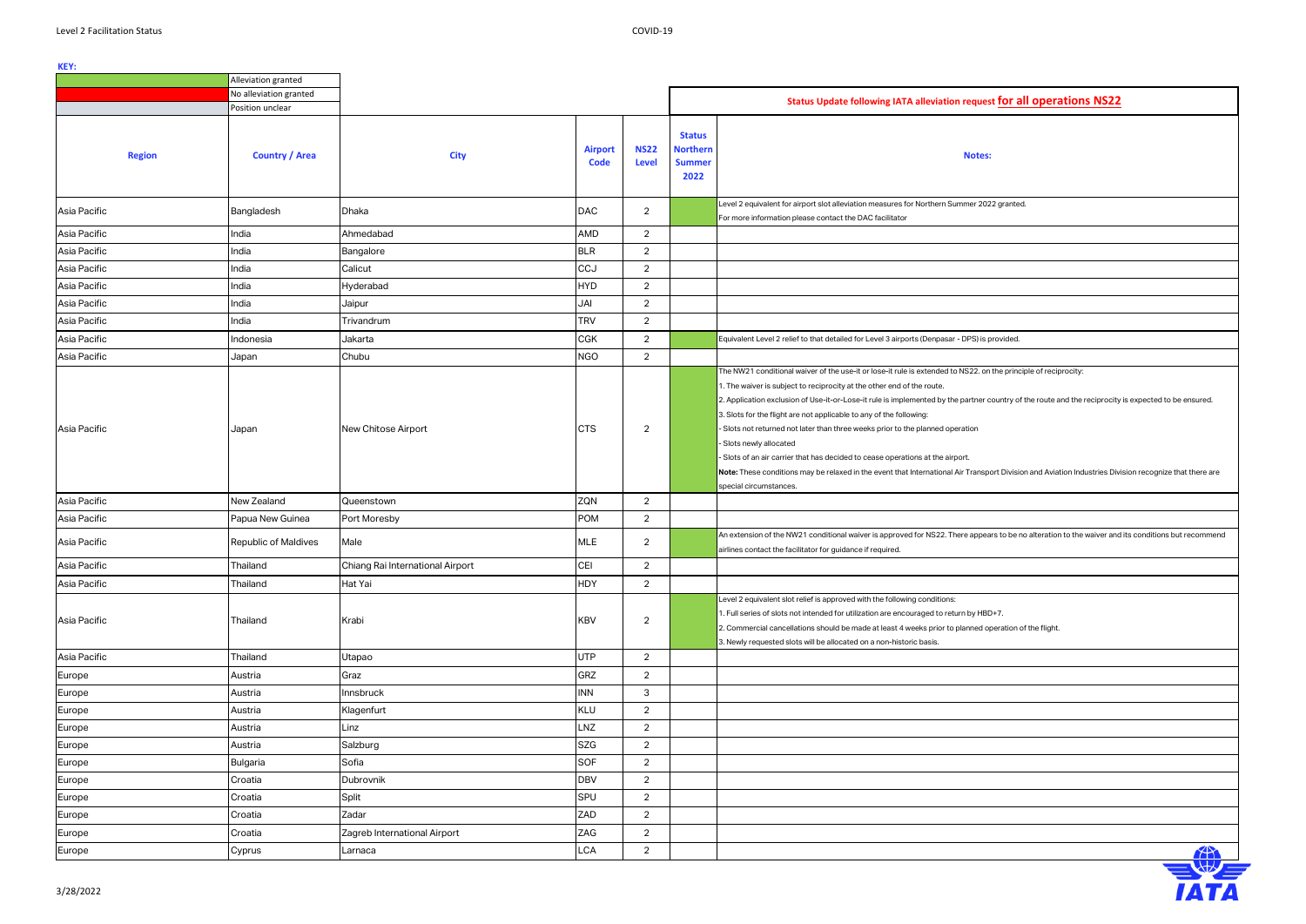|                                              | Alleviation granted                      |                                                   |                                 |                                       |                                                           |                                                                                                                                                                                                                                                                                                                                                                                                                                                                                                                                                                                                                                                                                                                                                                                                             |
|----------------------------------------------|------------------------------------------|---------------------------------------------------|---------------------------------|---------------------------------------|-----------------------------------------------------------|-------------------------------------------------------------------------------------------------------------------------------------------------------------------------------------------------------------------------------------------------------------------------------------------------------------------------------------------------------------------------------------------------------------------------------------------------------------------------------------------------------------------------------------------------------------------------------------------------------------------------------------------------------------------------------------------------------------------------------------------------------------------------------------------------------------|
|                                              | No alleviation granted                   |                                                   |                                 |                                       |                                                           | Status Update following IATA alleviation request for all operations NS22                                                                                                                                                                                                                                                                                                                                                                                                                                                                                                                                                                                                                                                                                                                                    |
|                                              | Position unclear                         |                                                   |                                 |                                       |                                                           |                                                                                                                                                                                                                                                                                                                                                                                                                                                                                                                                                                                                                                                                                                                                                                                                             |
| <b>Region</b>                                | <b>Country / Area</b>                    | <b>City</b>                                       | <b>Airport</b><br><b>Code</b>   | <b>NS22</b><br>Level                  | <b>Status</b><br><b>Northern</b><br><b>Summer</b><br>2022 | <b>Notes:</b>                                                                                                                                                                                                                                                                                                                                                                                                                                                                                                                                                                                                                                                                                                                                                                                               |
| Asia Pacific                                 | Bangladesh                               | Dhaka                                             | <b>DAC</b>                      | $\overline{2}$                        |                                                           | Level 2 equivalent for airport slot alleviation measures for Northern Summer 2022 granted.<br>For more information please contact the DAC facilitator                                                                                                                                                                                                                                                                                                                                                                                                                                                                                                                                                                                                                                                       |
| Asia Pacific                                 | India                                    | Ahmedabad                                         | AMD                             | 2                                     |                                                           |                                                                                                                                                                                                                                                                                                                                                                                                                                                                                                                                                                                                                                                                                                                                                                                                             |
| Asia Pacific                                 | India                                    | Bangalore                                         | <b>BLR</b>                      | $\overline{2}$                        |                                                           |                                                                                                                                                                                                                                                                                                                                                                                                                                                                                                                                                                                                                                                                                                                                                                                                             |
| Asia Pacific                                 | India                                    | Calicut                                           | CCJ                             | $\overline{2}$                        |                                                           |                                                                                                                                                                                                                                                                                                                                                                                                                                                                                                                                                                                                                                                                                                                                                                                                             |
| Asia Pacific                                 | India                                    | Hyderabad                                         | <b>HYD</b>                      | 2                                     |                                                           |                                                                                                                                                                                                                                                                                                                                                                                                                                                                                                                                                                                                                                                                                                                                                                                                             |
| Asia Pacific                                 | India                                    | Jaipur                                            | JAI                             | 2                                     |                                                           |                                                                                                                                                                                                                                                                                                                                                                                                                                                                                                                                                                                                                                                                                                                                                                                                             |
| Asia Pacific                                 | India                                    | Trivandrum                                        | <b>TRV</b>                      | $\overline{2}$                        |                                                           |                                                                                                                                                                                                                                                                                                                                                                                                                                                                                                                                                                                                                                                                                                                                                                                                             |
| Asia Pacific                                 | Indonesia                                | Jakarta                                           | <b>CGK</b>                      | 2                                     |                                                           | Equivalent Level 2 relief to that detailed for Level 3 airports (Denpasar - DPS) is provided.                                                                                                                                                                                                                                                                                                                                                                                                                                                                                                                                                                                                                                                                                                               |
| Asia Pacific                                 | Japan                                    | Chubu                                             | <b>NGO</b>                      | $\overline{2}$                        |                                                           |                                                                                                                                                                                                                                                                                                                                                                                                                                                                                                                                                                                                                                                                                                                                                                                                             |
| Asia Pacific<br>Asia Pacific<br>Asia Pacific | Japan<br>New Zealand<br>Papua New Guinea | New Chitose Airport<br>Queenstown<br>Port Moresby | <b>CTS</b><br>ZQN<br><b>POM</b> | $\overline{2}$<br>2<br>$\overline{2}$ |                                                           | The NW21 conditional waiver of the use-it or lose-it rule is extended to NS22. on the principle of reciprocity:<br>1. The waiver is subject to reciprocity at the other end of the route.<br>2. Application exclusion of Use-it-or-Lose-it rule is implemented by the partner country of the route and the reciprocity is expected to be ensured.<br>3. Slots for the flight are not applicable to any of the following:<br>- Slots not returned not later than three weeks prior to the planned operation<br>- Slots newly allocated<br>- Slots of an air carrier that has decided to cease operations at the airport.<br>Note: These conditions may be relaxed in the event that International Air Transport Division and Aviation Industries Division recognize that there are<br>special circumstances. |
| Asia Pacific                                 | Republic of Maldives                     | Male                                              | <b>MLE</b>                      | $\overline{2}$                        |                                                           | An extension of the NW21 conditional waiver is approved for NS22. There appears to be no alteration to the waiver and its conditions but recommend                                                                                                                                                                                                                                                                                                                                                                                                                                                                                                                                                                                                                                                          |
|                                              |                                          |                                                   |                                 |                                       |                                                           | airlines contact the facilitator for guidance if required.                                                                                                                                                                                                                                                                                                                                                                                                                                                                                                                                                                                                                                                                                                                                                  |
| Asia Pacific                                 | Thailand                                 | Chiang Rai International Airport                  | CEI                             | $\mathcal{D}$<br>$\epsilon$           |                                                           |                                                                                                                                                                                                                                                                                                                                                                                                                                                                                                                                                                                                                                                                                                                                                                                                             |
| Asia Pacific                                 | Thailand                                 | Hat Yai                                           | <b>HDY</b>                      | $\overline{2}$                        |                                                           |                                                                                                                                                                                                                                                                                                                                                                                                                                                                                                                                                                                                                                                                                                                                                                                                             |
| Asia Pacific                                 | Thailand                                 | Krabi                                             | <b>KBV</b>                      | $\overline{2}$                        |                                                           | Level 2 equivalent slot relief is approved with the following conditions:<br>1. Full series of slots not intended for utilization are encouraged to return by HBD+7.<br>2. Commercial cancellations should be made at least 4 weeks prior to planned operation of the flight.<br>3. Newly requested slots will be allocated on a non-historic basis.                                                                                                                                                                                                                                                                                                                                                                                                                                                        |
| Asia Pacific                                 | Thailand                                 | Utapao                                            | <b>UTP</b>                      | $\overline{2}$                        |                                                           |                                                                                                                                                                                                                                                                                                                                                                                                                                                                                                                                                                                                                                                                                                                                                                                                             |
| Europe                                       | Austria                                  | Graz                                              | GRZ                             | $\overline{2}$                        |                                                           |                                                                                                                                                                                                                                                                                                                                                                                                                                                                                                                                                                                                                                                                                                                                                                                                             |
| Europe                                       | Austria                                  | Innsbruck                                         | <b>INN</b>                      | 3                                     |                                                           |                                                                                                                                                                                                                                                                                                                                                                                                                                                                                                                                                                                                                                                                                                                                                                                                             |
| Europe                                       | Austria                                  | Klagenfurt                                        | KLU                             | $\overline{2}$                        |                                                           |                                                                                                                                                                                                                                                                                                                                                                                                                                                                                                                                                                                                                                                                                                                                                                                                             |
| Europe                                       | Austria                                  | Linz                                              | LNZ                             | $\overline{2}$                        |                                                           |                                                                                                                                                                                                                                                                                                                                                                                                                                                                                                                                                                                                                                                                                                                                                                                                             |
| Europe                                       | Austria                                  | Salzburg                                          | <b>SZG</b>                      | $\overline{2}$                        |                                                           |                                                                                                                                                                                                                                                                                                                                                                                                                                                                                                                                                                                                                                                                                                                                                                                                             |
| Europe                                       | <b>Bulgaria</b>                          | Sofia                                             | SOF                             | $\overline{2}$                        |                                                           |                                                                                                                                                                                                                                                                                                                                                                                                                                                                                                                                                                                                                                                                                                                                                                                                             |
| Europe                                       | Croatia                                  | Dubrovnik                                         | <b>DBV</b>                      | 2                                     |                                                           |                                                                                                                                                                                                                                                                                                                                                                                                                                                                                                                                                                                                                                                                                                                                                                                                             |
| Europe                                       | Croatia                                  | Split                                             | SPU                             | $\overline{2}$                        |                                                           |                                                                                                                                                                                                                                                                                                                                                                                                                                                                                                                                                                                                                                                                                                                                                                                                             |
| Europe                                       | Croatia                                  | Zadar                                             | ZAD                             | $\overline{2}$                        |                                                           |                                                                                                                                                                                                                                                                                                                                                                                                                                                                                                                                                                                                                                                                                                                                                                                                             |
| Europe                                       | Croatia                                  | Zagreb International Airport                      | ZAG                             | $\overline{2}$                        |                                                           |                                                                                                                                                                                                                                                                                                                                                                                                                                                                                                                                                                                                                                                                                                                                                                                                             |
| Europe                                       | Cyprus                                   | Larnaca                                           | <b>LCA</b>                      | $\overline{2}$                        |                                                           | $\bigoplus$                                                                                                                                                                                                                                                                                                                                                                                                                                                                                                                                                                                                                                                                                                                                                                                                 |
|                                              |                                          |                                                   |                                 |                                       |                                                           |                                                                                                                                                                                                                                                                                                                                                                                                                                                                                                                                                                                                                                                                                                                                                                                                             |

| st for all operations NS22                                              |
|-------------------------------------------------------------------------|
|                                                                         |
|                                                                         |
| i:                                                                      |
|                                                                         |
| 22 granted.                                                             |
|                                                                         |
|                                                                         |
|                                                                         |
|                                                                         |
|                                                                         |
|                                                                         |
| provided.                                                               |
|                                                                         |
| n the principle of reciprocity:                                         |
| country of the route and the reciprocity is expected to be ensured.     |
|                                                                         |
|                                                                         |
|                                                                         |
| oort Division and Aviation Industries Division recognize that there are |
|                                                                         |
|                                                                         |
| ars to be no alteration to the waiver and its conditions but recommend  |
|                                                                         |
|                                                                         |
|                                                                         |
| D+7.                                                                    |
| peration of the flight.                                                 |
|                                                                         |
|                                                                         |
|                                                                         |
|                                                                         |
|                                                                         |
|                                                                         |
|                                                                         |
|                                                                         |
|                                                                         |
|                                                                         |
|                                                                         |
|                                                                         |
|                                                                         |
|                                                                         |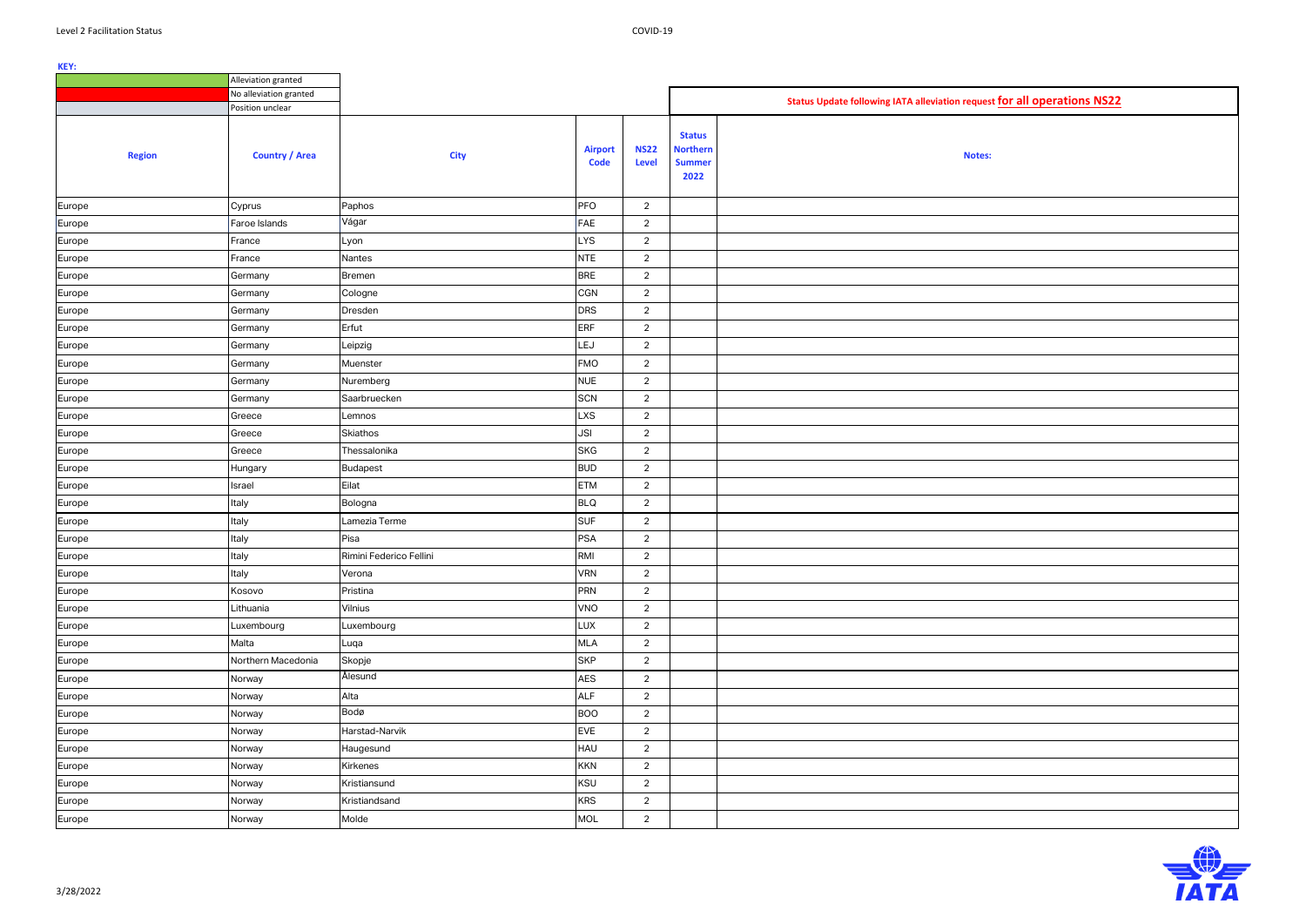|               | Alleviation granted    |                         |                               |                             |                                                           |                                                                          |
|---------------|------------------------|-------------------------|-------------------------------|-----------------------------|-----------------------------------------------------------|--------------------------------------------------------------------------|
|               | No alleviation granted |                         |                               |                             |                                                           | Status Update following IATA alleviation request for all operations NS22 |
|               | Position unclear       |                         |                               |                             |                                                           |                                                                          |
| <b>Region</b> | <b>Country / Area</b>  | <b>City</b>             | <b>Airport</b><br><b>Code</b> | <b>NS22</b><br><b>Level</b> | <b>Status</b><br><b>Northern</b><br><b>Summer</b><br>2022 | <b>Notes:</b>                                                            |
| Europe        | Cyprus                 | Paphos                  | PFO                           | $\overline{2}$              |                                                           |                                                                          |
| Europe        | Faroe Islands          | Vágar                   | FAE                           | $\overline{2}$              |                                                           |                                                                          |
| Europe        | France                 | Lyon                    | <b>LYS</b>                    | $\overline{2}$              |                                                           |                                                                          |
| Europe        | France                 | Nantes                  | <b>NTE</b>                    | $\overline{2}$              |                                                           |                                                                          |
| Europe        | Germany                | <b>Bremen</b>           | <b>BRE</b>                    | $\overline{2}$              |                                                           |                                                                          |
| Europe        | Germany                | Cologne                 | <b>CGN</b>                    | $\overline{2}$              |                                                           |                                                                          |
| Europe        | Germany                | Dresden                 | <b>DRS</b>                    | $\overline{2}$              |                                                           |                                                                          |
| Europe        | Germany                | Erfut                   | <b>ERF</b>                    | $\overline{2}$              |                                                           |                                                                          |
| Europe        | Germany                | Leipzig                 | LEJ                           | $\overline{2}$              |                                                           |                                                                          |
| Europe        | Germany                | Muenster                | <b>FMO</b>                    | $\overline{2}$              |                                                           |                                                                          |
| Europe        | Germany                | Nuremberg               | <b>NUE</b>                    | $\overline{2}$              |                                                           |                                                                          |
| Europe        | Germany                | Saarbruecken            | <b>SCN</b>                    | $\overline{2}$              |                                                           |                                                                          |
| Europe        | Greece                 | Lemnos                  | <b>LXS</b>                    | $\overline{2}$              |                                                           |                                                                          |
| Europe        | Greece                 | <b>Skiathos</b>         | <b>JSI</b>                    | $\overline{2}$              |                                                           |                                                                          |
| Europe        | Greece                 | Thessalonika            | <b>SKG</b>                    | $\overline{2}$              |                                                           |                                                                          |
| Europe        | Hungary                | <b>Budapest</b>         | <b>BUD</b>                    | $\overline{2}$              |                                                           |                                                                          |
| Europe        | Israel                 | Eilat                   | <b>ETM</b>                    | $\overline{2}$              |                                                           |                                                                          |
| Europe        | Italy                  | Bologna                 | <b>BLQ</b>                    | $\overline{2}$              |                                                           |                                                                          |
| Europe        | Italy                  | Lamezia Terme           | <b>SUF</b>                    | $\overline{2}$              |                                                           |                                                                          |
| Europe        | Italy                  | Pisa                    | <b>PSA</b>                    | $\overline{2}$              |                                                           |                                                                          |
| Europe        | Italy                  | Rimini Federico Fellini | RMI                           | $\overline{2}$              |                                                           |                                                                          |
| Europe        | Italy                  | Verona                  | <b>VRN</b>                    | $\overline{2}$              |                                                           |                                                                          |
| Europe        | Kosovo                 | Pristina                | <b>PRN</b>                    | $\overline{2}$              |                                                           |                                                                          |
| Europe        | Lithuania              | Vilnius                 | VNO                           | $\overline{2}$              |                                                           |                                                                          |
| Europe        | Luxembourg             | Luxembourg              | LUX                           | $\overline{2}$              |                                                           |                                                                          |
| Europe        | Malta                  | Luqa                    | MLA                           | $\overline{2}$              |                                                           |                                                                          |
| Europe        | Northern Macedonia     | Skopje                  | <b>SKP</b>                    | $\overline{2}$              |                                                           |                                                                          |
| Europe        | Norway                 | Ålesund                 | <b>AES</b>                    | $\overline{2}$              |                                                           |                                                                          |
| Europe        | Norway                 | Alta                    | <b>ALF</b>                    | $\overline{2}$              |                                                           |                                                                          |
| Europe        | Norway                 | Bodø                    | <b>BOO</b>                    | $\overline{2}$              |                                                           |                                                                          |
| Europe        | Norway                 | Harstad-Narvik          | <b>EVE</b>                    | $\overline{2}$              |                                                           |                                                                          |
| Europe        | Norway                 | Haugesund               | HAU                           | $\overline{2}$              |                                                           |                                                                          |
| Europe        | Norway                 | Kirkenes                | <b>KKN</b>                    | $\overline{2}$              |                                                           |                                                                          |
| Europe        | Norway                 | Kristiansund            | <b>KSU</b>                    | $\overline{2}$              |                                                           |                                                                          |
| Europe        | Norway                 | Kristiandsand           | <b>KRS</b>                    | $\overline{2}$              |                                                           |                                                                          |
| Europe        | Norway                 | Molde                   | MOL                           | $\overline{2}$              |                                                           |                                                                          |

| t for all operations NS22 |  |  |  |  |  |
|---------------------------|--|--|--|--|--|
|                           |  |  |  |  |  |
|                           |  |  |  |  |  |
|                           |  |  |  |  |  |
|                           |  |  |  |  |  |
|                           |  |  |  |  |  |
|                           |  |  |  |  |  |
|                           |  |  |  |  |  |
|                           |  |  |  |  |  |
|                           |  |  |  |  |  |
|                           |  |  |  |  |  |
|                           |  |  |  |  |  |
|                           |  |  |  |  |  |
|                           |  |  |  |  |  |
|                           |  |  |  |  |  |
|                           |  |  |  |  |  |
|                           |  |  |  |  |  |
|                           |  |  |  |  |  |
|                           |  |  |  |  |  |
|                           |  |  |  |  |  |
|                           |  |  |  |  |  |
|                           |  |  |  |  |  |
|                           |  |  |  |  |  |
|                           |  |  |  |  |  |
|                           |  |  |  |  |  |
|                           |  |  |  |  |  |
|                           |  |  |  |  |  |
|                           |  |  |  |  |  |
|                           |  |  |  |  |  |
|                           |  |  |  |  |  |
|                           |  |  |  |  |  |

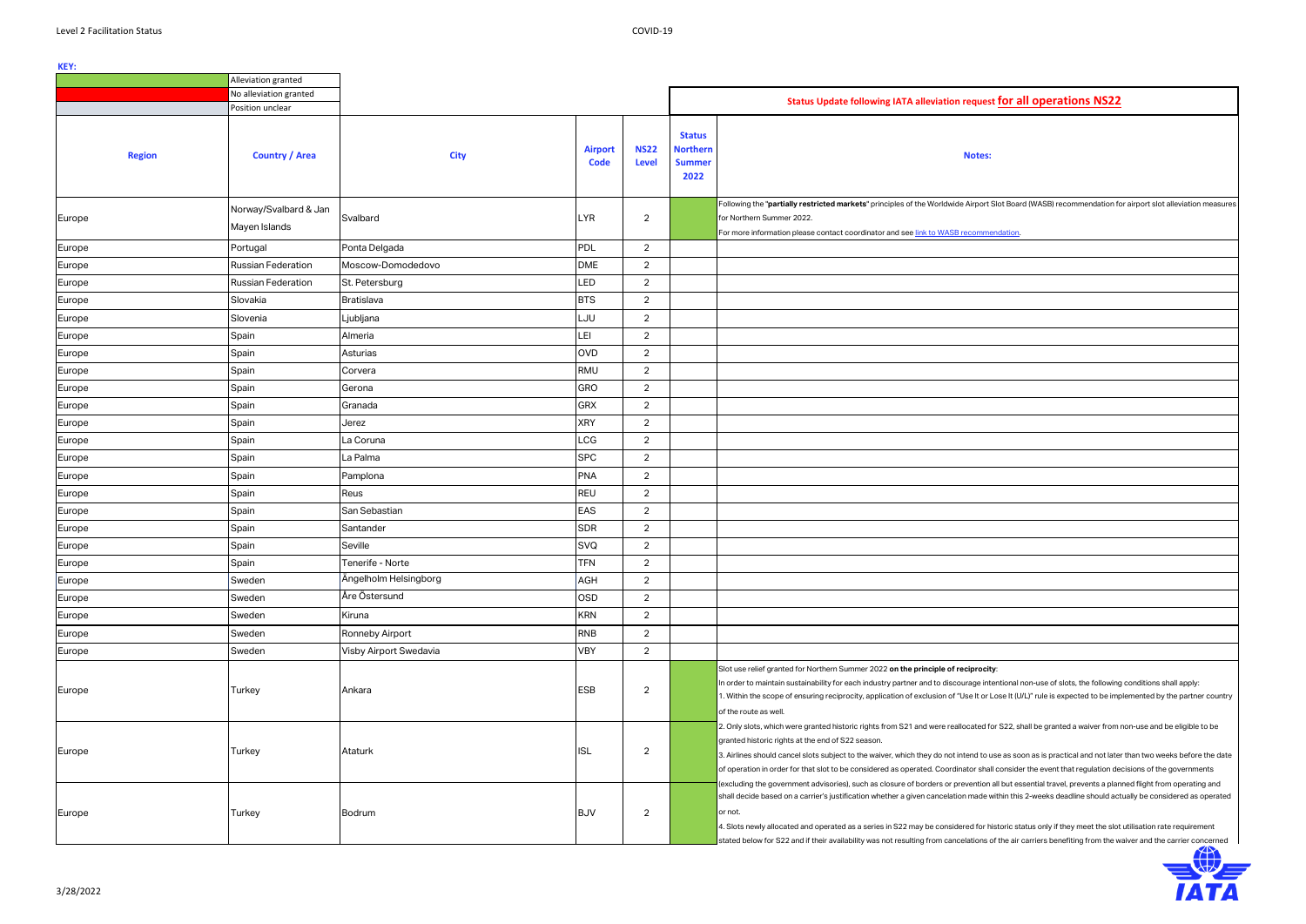|               | Alleviation granted                    |                        |                               |                             |                                                           |                                                                                                                                                                                                                                                                                                                                                                                                                                                                                                                                                                                                                                                                                            |  |  |  |  |
|---------------|----------------------------------------|------------------------|-------------------------------|-----------------------------|-----------------------------------------------------------|--------------------------------------------------------------------------------------------------------------------------------------------------------------------------------------------------------------------------------------------------------------------------------------------------------------------------------------------------------------------------------------------------------------------------------------------------------------------------------------------------------------------------------------------------------------------------------------------------------------------------------------------------------------------------------------------|--|--|--|--|
|               | No alleviation granted                 |                        |                               |                             |                                                           | Status Update following IATA alleviation request for all operations NS22                                                                                                                                                                                                                                                                                                                                                                                                                                                                                                                                                                                                                   |  |  |  |  |
|               | Position unclear                       |                        |                               |                             |                                                           |                                                                                                                                                                                                                                                                                                                                                                                                                                                                                                                                                                                                                                                                                            |  |  |  |  |
| <b>Region</b> | <b>Country / Area</b>                  | <b>City</b>            | <b>Airport</b><br><b>Code</b> | <b>NS22</b><br><b>Level</b> | <b>Status</b><br><b>Northern</b><br><b>Summer</b><br>2022 | <b>Notes:</b>                                                                                                                                                                                                                                                                                                                                                                                                                                                                                                                                                                                                                                                                              |  |  |  |  |
| Europe        | Norway/Svalbard & Jan<br>Mayen Islands | Svalbard               | LYR                           | $\overline{2}$              |                                                           | Following the "partially restricted markets" principles of the Worldwide Airport Slot Board (WASB) recommendation for airport slot alleviation measures<br>for Northern Summer 2022.<br>For more information please contact coordinator and see link to WASB recommendation.                                                                                                                                                                                                                                                                                                                                                                                                               |  |  |  |  |
| Europe        | Portugal                               | Ponta Delgada          | <b>PDL</b>                    | $\overline{2}$              |                                                           |                                                                                                                                                                                                                                                                                                                                                                                                                                                                                                                                                                                                                                                                                            |  |  |  |  |
| Europe        | Russian Federation                     | Moscow-Domodedovo      | <b>DME</b>                    | $\overline{2}$              |                                                           |                                                                                                                                                                                                                                                                                                                                                                                                                                                                                                                                                                                                                                                                                            |  |  |  |  |
| Europe        | Russian Federation                     | St. Petersburg         | LED                           | $\overline{2}$              |                                                           |                                                                                                                                                                                                                                                                                                                                                                                                                                                                                                                                                                                                                                                                                            |  |  |  |  |
| Europe        | Slovakia                               | Bratislava             | <b>BTS</b>                    | $\overline{2}$              |                                                           |                                                                                                                                                                                                                                                                                                                                                                                                                                                                                                                                                                                                                                                                                            |  |  |  |  |
| Europe        | Slovenia                               | Ljubljana              | LJU                           | $\overline{2}$              |                                                           |                                                                                                                                                                                                                                                                                                                                                                                                                                                                                                                                                                                                                                                                                            |  |  |  |  |
| Europe        | Spain                                  | Almeria                | LEI                           | $\overline{2}$              |                                                           |                                                                                                                                                                                                                                                                                                                                                                                                                                                                                                                                                                                                                                                                                            |  |  |  |  |
| Europe        | Spain                                  | Asturias               | <b>OVD</b>                    | $\overline{2}$              |                                                           |                                                                                                                                                                                                                                                                                                                                                                                                                                                                                                                                                                                                                                                                                            |  |  |  |  |
| Europe        | Spain                                  | Corvera                | RMU                           | $\overline{2}$              |                                                           |                                                                                                                                                                                                                                                                                                                                                                                                                                                                                                                                                                                                                                                                                            |  |  |  |  |
| Europe        | Spain                                  | Gerona                 | <b>GRO</b>                    | $\overline{2}$              |                                                           |                                                                                                                                                                                                                                                                                                                                                                                                                                                                                                                                                                                                                                                                                            |  |  |  |  |
| Europe        | Spain                                  | Granada                | <b>GRX</b>                    | $\overline{2}$              |                                                           |                                                                                                                                                                                                                                                                                                                                                                                                                                                                                                                                                                                                                                                                                            |  |  |  |  |
| Europe        | Spain                                  | Jerez                  | <b>XRY</b>                    | $\overline{2}$              |                                                           |                                                                                                                                                                                                                                                                                                                                                                                                                                                                                                                                                                                                                                                                                            |  |  |  |  |
| Europe        | Spain                                  | La Coruna              | LCG                           | $\overline{2}$              |                                                           |                                                                                                                                                                                                                                                                                                                                                                                                                                                                                                                                                                                                                                                                                            |  |  |  |  |
| Europe        | Spain                                  | La Palma               | <b>SPC</b>                    | $\overline{2}$              |                                                           |                                                                                                                                                                                                                                                                                                                                                                                                                                                                                                                                                                                                                                                                                            |  |  |  |  |
| Europe        | Spain                                  | Pamplona               | <b>PNA</b>                    | $\overline{2}$              |                                                           |                                                                                                                                                                                                                                                                                                                                                                                                                                                                                                                                                                                                                                                                                            |  |  |  |  |
| Europe        | Spain                                  | Reus                   | <b>REU</b>                    | $\overline{2}$              |                                                           |                                                                                                                                                                                                                                                                                                                                                                                                                                                                                                                                                                                                                                                                                            |  |  |  |  |
| Europe        | Spain                                  | San Sebastian          | EAS                           | $\overline{2}$              |                                                           |                                                                                                                                                                                                                                                                                                                                                                                                                                                                                                                                                                                                                                                                                            |  |  |  |  |
| Europe        | Spain                                  | Santander              | <b>SDR</b>                    | $\overline{2}$              |                                                           |                                                                                                                                                                                                                                                                                                                                                                                                                                                                                                                                                                                                                                                                                            |  |  |  |  |
| Europe        | Spain                                  | Seville                | <b>SVQ</b>                    | $\overline{2}$              |                                                           |                                                                                                                                                                                                                                                                                                                                                                                                                                                                                                                                                                                                                                                                                            |  |  |  |  |
| Europe        | Spain                                  | Tenerife - Norte       | <b>TFN</b>                    | $\overline{2}$              |                                                           |                                                                                                                                                                                                                                                                                                                                                                                                                                                                                                                                                                                                                                                                                            |  |  |  |  |
| Europe        | Sweden                                 | Ängelholm Helsingborg  | AGH                           | $\overline{2}$              |                                                           |                                                                                                                                                                                                                                                                                                                                                                                                                                                                                                                                                                                                                                                                                            |  |  |  |  |
| Europe        | Sweden                                 | Åre Östersund          | OSD                           | $\overline{2}$              |                                                           |                                                                                                                                                                                                                                                                                                                                                                                                                                                                                                                                                                                                                                                                                            |  |  |  |  |
| Europe        | Sweden                                 | Kiruna                 | <b>KRN</b>                    | $\overline{2}$              |                                                           |                                                                                                                                                                                                                                                                                                                                                                                                                                                                                                                                                                                                                                                                                            |  |  |  |  |
| Europe        | Sweden                                 | Ronneby Airport        | <b>RNB</b>                    | $\overline{2}$              |                                                           |                                                                                                                                                                                                                                                                                                                                                                                                                                                                                                                                                                                                                                                                                            |  |  |  |  |
| Europe        | Sweden                                 | Visby Airport Swedavia | <b>VBY</b>                    | $\overline{2}$              |                                                           |                                                                                                                                                                                                                                                                                                                                                                                                                                                                                                                                                                                                                                                                                            |  |  |  |  |
| Europe        | Turkey                                 | Ankara                 | <b>ESB</b>                    | $\overline{2}$              |                                                           | Slot use relief granted for Northern Summer 2022 on the principle of reciprocity:<br>In order to maintain sustainability for each industry partner and to discourage intentional non-use of slots, the following conditions shall apply:<br>1. Within the scope of ensuring reciprocity, application of exclusion of "Use It or Lose It (U/L)" rule is expected to be implemented by the partner country<br>of the route as well.                                                                                                                                                                                                                                                          |  |  |  |  |
| Europe        | Turkey                                 | Ataturk                | <b>ISL</b>                    | $\overline{2}$              |                                                           | 2. Only slots, which were granted historic rights from S21 and were reallocated for S22, shall be granted a waiver from non-use and be eligible to be<br>granted historic rights at the end of S22 season.<br>3. Airlines should cancel slots subject to the waiver, which they do not intend to use as soon as is practical and not later than two weeks before the date<br>of operation in order for that slot to be considered as operated. Coordinator shall consider the event that regulation decisions of the governments<br>(excluding the government advisories), such as closure of borders or prevention all but essential travel, prevents a planned flight from operating and |  |  |  |  |
| Europe        | Turkey                                 | <b>Bodrum</b>          | <b>BJV</b>                    | $\overline{2}$              |                                                           | shall decide based on a carrier's justification whether a given cancelation made within this 2-weeks deadline should actually be considered as operated<br>or not.<br>4. Slots newly allocated and operated as a series in S22 may be considered for historic status only if they meet the slot utilisation rate requirement<br>stated below for S22 and if their availability was not resulting from cancelations of the air carriers benefiting from the waiver and the carrier concerned                                                                                                                                                                                                |  |  |  |  |

| est for all operations NS22                                                                                                                                             |  |  |  |  |  |
|-------------------------------------------------------------------------------------------------------------------------------------------------------------------------|--|--|--|--|--|
|                                                                                                                                                                         |  |  |  |  |  |
| lS:                                                                                                                                                                     |  |  |  |  |  |
|                                                                                                                                                                         |  |  |  |  |  |
|                                                                                                                                                                         |  |  |  |  |  |
| rt Slot Board (WASB) recommendation for airport slot alleviation measures                                                                                               |  |  |  |  |  |
| mendation.                                                                                                                                                              |  |  |  |  |  |
|                                                                                                                                                                         |  |  |  |  |  |
|                                                                                                                                                                         |  |  |  |  |  |
|                                                                                                                                                                         |  |  |  |  |  |
|                                                                                                                                                                         |  |  |  |  |  |
|                                                                                                                                                                         |  |  |  |  |  |
|                                                                                                                                                                         |  |  |  |  |  |
|                                                                                                                                                                         |  |  |  |  |  |
|                                                                                                                                                                         |  |  |  |  |  |
|                                                                                                                                                                         |  |  |  |  |  |
|                                                                                                                                                                         |  |  |  |  |  |
|                                                                                                                                                                         |  |  |  |  |  |
|                                                                                                                                                                         |  |  |  |  |  |
|                                                                                                                                                                         |  |  |  |  |  |
|                                                                                                                                                                         |  |  |  |  |  |
|                                                                                                                                                                         |  |  |  |  |  |
|                                                                                                                                                                         |  |  |  |  |  |
|                                                                                                                                                                         |  |  |  |  |  |
|                                                                                                                                                                         |  |  |  |  |  |
|                                                                                                                                                                         |  |  |  |  |  |
|                                                                                                                                                                         |  |  |  |  |  |
|                                                                                                                                                                         |  |  |  |  |  |
| city <sup>.</sup><br>intentional non-use of slots, the following conditions shall apply:<br>or Lose It (U/L)" rule is expected to be implemented by the partner country |  |  |  |  |  |
| d for S22, shall be granted a waiver from non-use and be eligible to be                                                                                                 |  |  |  |  |  |

or historic status only if they meet the slot utilisation rate requirement s of the air carriers benefiting from the waiver and the carrier concerned

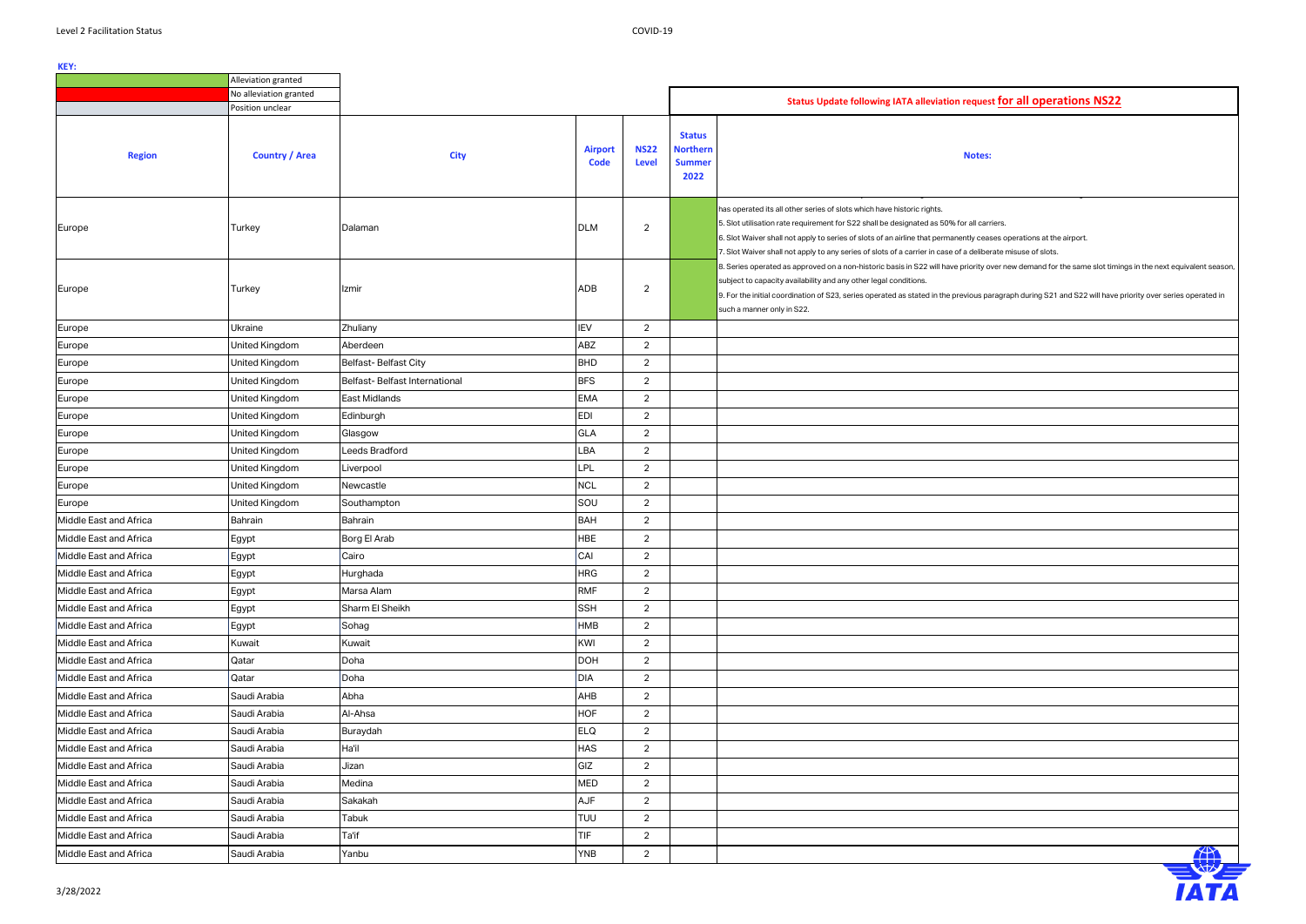## **Notes:**



|                        | Alleviation granted    |                               |                               |                             |                                                           |                                                                                                                                                                                                                                                                                                                                                                                                                         |
|------------------------|------------------------|-------------------------------|-------------------------------|-----------------------------|-----------------------------------------------------------|-------------------------------------------------------------------------------------------------------------------------------------------------------------------------------------------------------------------------------------------------------------------------------------------------------------------------------------------------------------------------------------------------------------------------|
|                        | No alleviation granted |                               |                               |                             |                                                           | Status Update following IATA alleviation request for all operations NS22                                                                                                                                                                                                                                                                                                                                                |
|                        | Position unclear       |                               |                               |                             |                                                           |                                                                                                                                                                                                                                                                                                                                                                                                                         |
| <b>Region</b>          | <b>Country / Area</b>  | <b>City</b>                   | <b>Airport</b><br><b>Code</b> | <b>NS22</b><br><b>Level</b> | <b>Status</b><br><b>Northern</b><br><b>Summer</b><br>2022 | <b>Notes:</b>                                                                                                                                                                                                                                                                                                                                                                                                           |
| Europe                 | Turkey                 | Dalaman                       | <b>DLM</b>                    | $\overline{2}$              |                                                           | has operated its all other series of slots which have historic rights.<br>5. Slot utilisation rate requirement for S22 shall be designated as 50% for all carriers.<br>6. Slot Waiver shall not apply to series of slots of an airline that permanently ceases operations at the airport.<br>7. Slot Waiver shall not apply to any series of slots of a carrier in case of a deliberate misuse of slots.                |
| Europe                 | Turkey                 | Izmir                         | ADB                           | $\overline{2}$              |                                                           | 8. Series operated as approved on a non-historic basis in S22 will have priority over new demand for the same slot timings in the next equivalent seasor<br>subject to capacity availability and any other legal conditions.<br>9. For the initial coordination of S23, series operated as stated in the previous paragraph during S21 and S22 will have priority over series operated in<br>such a manner only in S22. |
| Europe                 | Ukraine                | Zhuliany                      | IEV                           | $\overline{2}$              |                                                           |                                                                                                                                                                                                                                                                                                                                                                                                                         |
| Europe                 | United Kingdom         | Aberdeen                      | ABZ                           | 2                           |                                                           |                                                                                                                                                                                                                                                                                                                                                                                                                         |
| Europe                 | United Kingdom         | <b>Belfast-Belfast City</b>   | <b>BHD</b>                    | 2                           |                                                           |                                                                                                                                                                                                                                                                                                                                                                                                                         |
| Europe                 | <b>United Kingdom</b>  | Belfast-Belfast International | <b>BFS</b>                    | $\overline{2}$              |                                                           |                                                                                                                                                                                                                                                                                                                                                                                                                         |
| Europe                 | United Kingdom         | East Midlands                 | <b>EMA</b>                    | $\overline{2}$              |                                                           |                                                                                                                                                                                                                                                                                                                                                                                                                         |
| Europe                 | United Kingdom         | Edinburgh                     | EDI                           | $\overline{2}$              |                                                           |                                                                                                                                                                                                                                                                                                                                                                                                                         |
| Europe                 | United Kingdom         | Glasgow                       | <b>GLA</b>                    | $\overline{2}$              |                                                           |                                                                                                                                                                                                                                                                                                                                                                                                                         |
| Europe                 | United Kingdom         | Leeds Bradford                | LBA                           | $\overline{2}$              |                                                           |                                                                                                                                                                                                                                                                                                                                                                                                                         |
| Europe                 | United Kingdom         | Liverpool                     | LPL                           | $\overline{2}$              |                                                           |                                                                                                                                                                                                                                                                                                                                                                                                                         |
| Europe                 | United Kingdom         | Newcastle                     | <b>NCL</b>                    | $\overline{2}$              |                                                           |                                                                                                                                                                                                                                                                                                                                                                                                                         |
| Europe                 | United Kingdom         | Southampton                   | SOU                           | $\overline{2}$              |                                                           |                                                                                                                                                                                                                                                                                                                                                                                                                         |
| Middle East and Africa | Bahrain                | Bahrain                       | <b>BAH</b>                    | $\overline{2}$              |                                                           |                                                                                                                                                                                                                                                                                                                                                                                                                         |
| Middle East and Africa | Egypt                  | Borg El Arab                  | HBE                           | $\overline{2}$              |                                                           |                                                                                                                                                                                                                                                                                                                                                                                                                         |
| Middle East and Africa | Egypt                  | Cairo                         | CAI                           | $\overline{2}$              |                                                           |                                                                                                                                                                                                                                                                                                                                                                                                                         |
| Middle East and Africa | Egypt                  | Hurghada                      | <b>HRG</b>                    | $\overline{2}$              |                                                           |                                                                                                                                                                                                                                                                                                                                                                                                                         |
| Middle East and Africa | Egypt                  | Marsa Alam                    | <b>RMF</b>                    | $\overline{2}$              |                                                           |                                                                                                                                                                                                                                                                                                                                                                                                                         |
| Middle East and Africa | Egypt                  | Sharm El Sheikh               | <b>SSH</b>                    | $\overline{2}$              |                                                           |                                                                                                                                                                                                                                                                                                                                                                                                                         |
| Middle East and Africa | Egypt                  | Sohag                         | HMB                           | $\overline{2}$              |                                                           |                                                                                                                                                                                                                                                                                                                                                                                                                         |
| Middle East and Africa | Kuwait                 | Kuwait                        | KWI                           | $\overline{2}$              |                                                           |                                                                                                                                                                                                                                                                                                                                                                                                                         |
| Middle East and Africa | Qatar                  | Doha                          | <b>DOH</b>                    | $\overline{2}$              |                                                           |                                                                                                                                                                                                                                                                                                                                                                                                                         |
| Middle East and Africa | Qatar                  | Doha                          | <b>DIA</b>                    | $\overline{2}$              |                                                           |                                                                                                                                                                                                                                                                                                                                                                                                                         |
| Middle East and Africa | Saudi Arabia           | Abha                          | AHB                           | $\overline{2}$              |                                                           |                                                                                                                                                                                                                                                                                                                                                                                                                         |
| Middle East and Africa | Saudi Arabia           | Al-Ahsa                       | <b>HOF</b>                    | $\overline{2}$              |                                                           |                                                                                                                                                                                                                                                                                                                                                                                                                         |
| Middle East and Africa | Saudi Arabia           | Buraydah                      | <b>ELQ</b>                    | $\overline{2}$              |                                                           |                                                                                                                                                                                                                                                                                                                                                                                                                         |
| Middle East and Africa | Saudi Arabia           | Ha'il                         | <b>HAS</b>                    | 2                           |                                                           |                                                                                                                                                                                                                                                                                                                                                                                                                         |
| Middle East and Africa | Saudi Arabia           | Jizan                         | GIZ                           | $\overline{2}$              |                                                           |                                                                                                                                                                                                                                                                                                                                                                                                                         |
| Middle East and Africa | Saudi Arabia           | Medina                        | <b>MED</b>                    | $\overline{2}$              |                                                           |                                                                                                                                                                                                                                                                                                                                                                                                                         |
| Middle East and Africa | Saudi Arabia           | Sakakah                       | AJF                           | $\overline{2}$              |                                                           |                                                                                                                                                                                                                                                                                                                                                                                                                         |
| Middle East and Africa | Saudi Arabia           | Tabuk                         | TUU                           | $\overline{2}$              |                                                           |                                                                                                                                                                                                                                                                                                                                                                                                                         |
| Middle East and Africa | Saudi Arabia           | Ta'if                         | <b>TIF</b>                    | $\overline{2}$              |                                                           |                                                                                                                                                                                                                                                                                                                                                                                                                         |
| Middle East and Africa | Saudi Arabia           | Yanbu                         | <b>YNB</b>                    | $\overline{2}$              |                                                           | 4 A                                                                                                                                                                                                                                                                                                                                                                                                                     |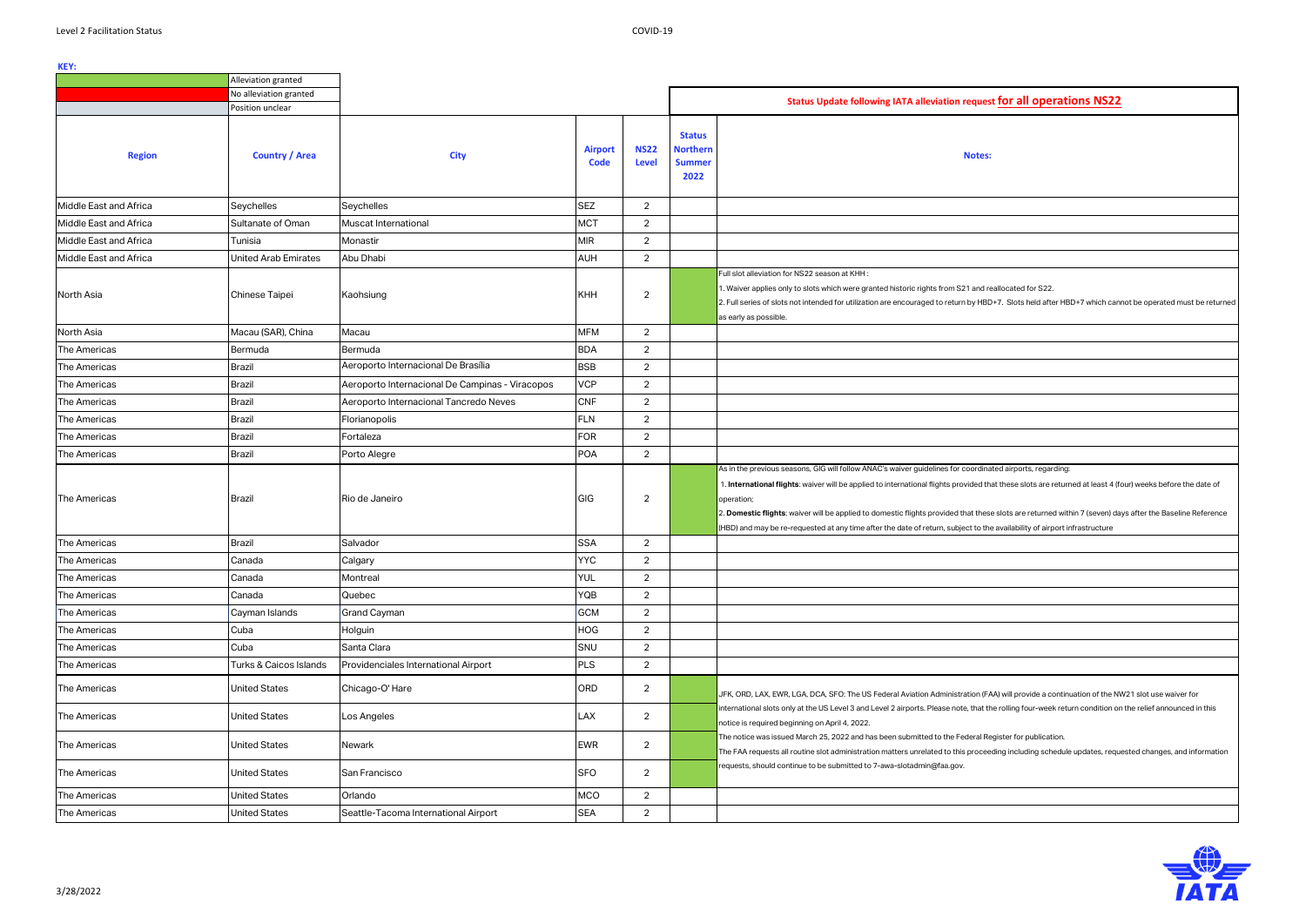|                        | Alleviation granted         |                                                 |                               |                             |                                                           |                                                                                                                                                                                                                                                                                                                                                                                                                                                                                                                                                                                 |
|------------------------|-----------------------------|-------------------------------------------------|-------------------------------|-----------------------------|-----------------------------------------------------------|---------------------------------------------------------------------------------------------------------------------------------------------------------------------------------------------------------------------------------------------------------------------------------------------------------------------------------------------------------------------------------------------------------------------------------------------------------------------------------------------------------------------------------------------------------------------------------|
|                        | No alleviation granted      |                                                 |                               |                             |                                                           | Status Update following IATA alleviation request for all operations NS22                                                                                                                                                                                                                                                                                                                                                                                                                                                                                                        |
|                        | Position unclear            |                                                 |                               |                             |                                                           |                                                                                                                                                                                                                                                                                                                                                                                                                                                                                                                                                                                 |
| <b>Region</b>          | <b>Country / Area</b>       | <b>City</b>                                     | <b>Airport</b><br><b>Code</b> | <b>NS22</b><br><b>Level</b> | <b>Status</b><br><b>Northern</b><br><b>Summer</b><br>2022 | <b>Notes:</b>                                                                                                                                                                                                                                                                                                                                                                                                                                                                                                                                                                   |
| Middle East and Africa | Seychelles                  | Seychelles                                      | <b>SEZ</b>                    | $\overline{2}$              |                                                           |                                                                                                                                                                                                                                                                                                                                                                                                                                                                                                                                                                                 |
| Middle East and Africa | Sultanate of Oman           | Muscat International                            | <b>MCT</b>                    | $\overline{2}$              |                                                           |                                                                                                                                                                                                                                                                                                                                                                                                                                                                                                                                                                                 |
| Middle East and Africa | Tunisia                     | Monastir                                        | <b>MIR</b>                    | $\overline{2}$              |                                                           |                                                                                                                                                                                                                                                                                                                                                                                                                                                                                                                                                                                 |
| Middle East and Africa | <b>United Arab Emirates</b> | Abu Dhabi                                       | <b>AUH</b>                    | $\overline{2}$              |                                                           |                                                                                                                                                                                                                                                                                                                                                                                                                                                                                                                                                                                 |
| North Asia             | Chinese Taipei              | Kaohsiung                                       | <b>KHH</b>                    | $\overline{2}$              |                                                           | Full slot alleviation for NS22 season at KHH:<br>1. Waiver applies only to slots which were granted historic rights from S21 and reallocated for S22.<br>2. Full series of slots not intended for utilization are encouraged to return by HBD+7. Slots held after HBD+7 which cannot be operated must be returned<br>as early as possible.                                                                                                                                                                                                                                      |
| North Asia             | Macau (SAR), China          | Macau                                           | <b>MFM</b>                    | $\overline{2}$              |                                                           |                                                                                                                                                                                                                                                                                                                                                                                                                                                                                                                                                                                 |
| The Americas           | Bermuda                     | Bermuda                                         | <b>BDA</b>                    | $\overline{2}$              |                                                           |                                                                                                                                                                                                                                                                                                                                                                                                                                                                                                                                                                                 |
| The Americas           | <b>Brazil</b>               | Aeroporto Internacional De Brasília             | <b>BSB</b>                    | $\overline{2}$              |                                                           |                                                                                                                                                                                                                                                                                                                                                                                                                                                                                                                                                                                 |
| The Americas           | <b>Brazil</b>               | Aeroporto Internacional De Campinas - Viracopos | <b>VCP</b>                    | $\overline{2}$              |                                                           |                                                                                                                                                                                                                                                                                                                                                                                                                                                                                                                                                                                 |
| The Americas           | <b>Brazil</b>               | Aeroporto Internacional Tancredo Neves          | <b>CNF</b>                    | $\overline{2}$              |                                                           |                                                                                                                                                                                                                                                                                                                                                                                                                                                                                                                                                                                 |
| The Americas           | <b>Brazil</b>               | Florianopolis                                   | <b>FLN</b>                    | $\overline{2}$              |                                                           |                                                                                                                                                                                                                                                                                                                                                                                                                                                                                                                                                                                 |
| The Americas           | <b>Brazil</b>               | Fortaleza                                       | <b>FOR</b>                    | $\overline{2}$              |                                                           |                                                                                                                                                                                                                                                                                                                                                                                                                                                                                                                                                                                 |
| The Americas           | <b>Brazil</b>               | Porto Alegre                                    | <b>POA</b>                    | $\overline{2}$              |                                                           |                                                                                                                                                                                                                                                                                                                                                                                                                                                                                                                                                                                 |
| The Americas           | <b>Brazil</b>               | Rio de Janeiro                                  | GIG                           | $\overline{2}$              |                                                           | As in the previous seasons, GIG will follow ANAC's waiver guidelines for coordinated airports, regarding:<br>. International flights: waiver will be applied to international flights provided that these slots are returned at least 4 (four) weeks before the date of<br>operation;<br>2. Domestic flights: waiver will be applied to domestic flights provided that these slots are returned within 7 (seven) days after the Baseline Reference<br>(HBD) and may be re-requested at any time after the date of return, subject to the availability of airport infrastructure |
| The Americas           | <b>Brazil</b>               | Salvador                                        | <b>SSA</b>                    | $\overline{2}$              |                                                           |                                                                                                                                                                                                                                                                                                                                                                                                                                                                                                                                                                                 |
| The Americas           | Canada                      | Calgary                                         | <b>YYC</b>                    | $\overline{2}$              |                                                           |                                                                                                                                                                                                                                                                                                                                                                                                                                                                                                                                                                                 |
| The Americas           | Canada                      | Montreal                                        | <b>YUL</b>                    | $\overline{2}$              |                                                           |                                                                                                                                                                                                                                                                                                                                                                                                                                                                                                                                                                                 |
| The Americas           | Canada                      | Quebec                                          | YQB                           | $\overline{2}$              |                                                           |                                                                                                                                                                                                                                                                                                                                                                                                                                                                                                                                                                                 |
| The Americas           | Cayman Islands              | Grand Cayman                                    | <b>GCM</b>                    | $\overline{2}$              |                                                           |                                                                                                                                                                                                                                                                                                                                                                                                                                                                                                                                                                                 |
| The Americas           | Cuba                        | Holguin                                         | HOG                           | $\overline{2}$              |                                                           |                                                                                                                                                                                                                                                                                                                                                                                                                                                                                                                                                                                 |
| The Americas           | Cuba                        | Santa Clara                                     | SNU                           | $\overline{2}$              |                                                           |                                                                                                                                                                                                                                                                                                                                                                                                                                                                                                                                                                                 |
| The Americas           | Turks & Caicos Islands      | Providenciales International Airport            | <b>PLS</b>                    | $\overline{2}$              |                                                           |                                                                                                                                                                                                                                                                                                                                                                                                                                                                                                                                                                                 |
| The Americas           | <b>United States</b>        | Chicago-O' Hare                                 | ORD                           | $\overline{2}$              |                                                           | JFK, ORD, LAX, EWR, LGA, DCA, SFO: The US Federal Aviation Administration (FAA) will provide a continuation of the NW21 slot use waiver for                                                                                                                                                                                                                                                                                                                                                                                                                                     |
| The Americas           | <b>United States</b>        | Los Angeles                                     | LAX                           | $\overline{2}$              |                                                           | international slots only at the US Level 3 and Level 2 airports. Please note, that the rolling four-week return condition on the relief announced in this<br>notice is required beginning on April 4, 2022.                                                                                                                                                                                                                                                                                                                                                                     |
| The Americas           | <b>United States</b>        | Newark                                          | EWR                           | $\overline{2}$              |                                                           | The notice was issued March 25, 2022 and has been submitted to the Federal Register for publication.<br>The FAA requests all routine slot administration matters unrelated to this proceeding including schedule updates, requested changes, and information                                                                                                                                                                                                                                                                                                                    |
| The Americas           | <b>United States</b>        | San Francisco                                   | <b>SFO</b>                    | $\overline{2}$              |                                                           | requests, should continue to be submitted to 7-awa-slotadmin@faa.gov.                                                                                                                                                                                                                                                                                                                                                                                                                                                                                                           |
| The Americas           | <b>United States</b>        | Orlando                                         | <b>MCO</b>                    | $\overline{2}$              |                                                           |                                                                                                                                                                                                                                                                                                                                                                                                                                                                                                                                                                                 |
| The Americas           | <b>United States</b>        | Seattle-Tacoma International Airport            | <b>SEA</b>                    | $\overline{2}$              |                                                           |                                                                                                                                                                                                                                                                                                                                                                                                                                                                                                                                                                                 |

| st for all operations NS22                                               |
|--------------------------------------------------------------------------|
|                                                                          |
|                                                                          |
| X,                                                                       |
|                                                                          |
|                                                                          |
|                                                                          |
|                                                                          |
|                                                                          |
|                                                                          |
|                                                                          |
| reallocated for S22.                                                     |
| D+7. Slots held after HBD+7 which cannot be operated must be returned    |
|                                                                          |
|                                                                          |
|                                                                          |
|                                                                          |
|                                                                          |
|                                                                          |
|                                                                          |
|                                                                          |
|                                                                          |
| ated airports, regarding:                                                |
| hat these slots are returned at least 4 (four) weeks before the date of  |
| se slots are returned within 7 (seven) days after the Baseline Reference |
| e availability of airport infrastructure                                 |
|                                                                          |
|                                                                          |
|                                                                          |
|                                                                          |
|                                                                          |
|                                                                          |
|                                                                          |
|                                                                          |
|                                                                          |
| AA) will provide a continuation of the NW21 slot use waiver for          |
| he rolling four-week return condition on the relief announced in this    |
|                                                                          |
| egister for publication.                                                 |
| eding including schedule updates, requested changes, and information     |
|                                                                          |
|                                                                          |